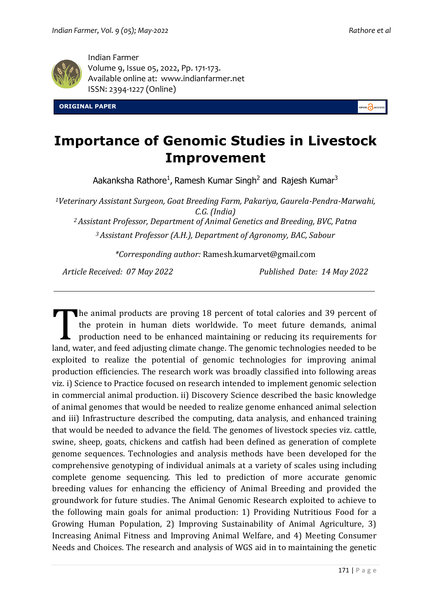

Indian Farmer Volume 9, Issue 05, 2022, Pp. 171-173. Available online at: [www.indianfarmer.n](http://www.indianfarmer./)et ISSN: 2394-1227 (Online)

**ORIGINAL PAPER** 



## **Importance of Genomic Studies in Livestock Improvement**

Aakanksha Rathore<sup>1</sup>, Ramesh Kumar Singh<sup>2</sup> and Rajesh Kumar<sup>3</sup>

*<sup>1</sup>Veterinary Assistant Surgeon, Goat Breeding Farm, Pakariya, Gaurela-Pendra-Marwahi, C.G. (India)*

*<sup>2</sup>Assistant Professor, Department of Animal Genetics and Breeding, BVC, Patna*

*<sup>3</sup>Assistant Professor (A.H.), Department of Agronomy, BAC, Sabour*

*\*Corresponding author:* Ramesh.kumarvet@gmail.com

*Article Received: 07 May 2022 Published Date: 14 May 2022*

he animal products are proving 18 percent of total calories and 39 percent of the protein in human diets worldwide. To meet future demands, animal production need to be enhanced maintaining or reducing its requirements for land, water, and feed adjusting climate change. The genomic technologies needed to be exploited to realize the potential of genomic technologies for improving animal production efficiencies. The research work was broadly classified into following areas viz. i) Science to Practice focused on research intended to implement genomic selection in commercial animal production. ii) Discovery Science described the basic knowledge of animal genomes that would be needed to realize genome enhanced animal selection and iii) Infrastructure described the computing, data analysis, and enhanced training that would be needed to advance the field. The genomes of livestock species viz. cattle, swine, sheep, goats, chickens and catfish had been defined as generation of complete genome sequences. Technologies and analysis methods have been developed for the comprehensive genotyping of individual animals at a variety of scales using including complete genome sequencing. This led to prediction of more accurate genomic breeding values for enhancing the efficiency of Animal Breeding and provided the groundwork for future studies. The Animal Genomic Research exploited to achieve to the following main goals for animal production: 1) Providing Nutritious Food for a Growing Human Population, 2) Improving Sustainability of Animal Agriculture, 3) Increasing Animal Fitness and Improving Animal Welfare, and 4) Meeting Consumer Needs and Choices. The research and analysis of WGS aid in to maintaining the genetic T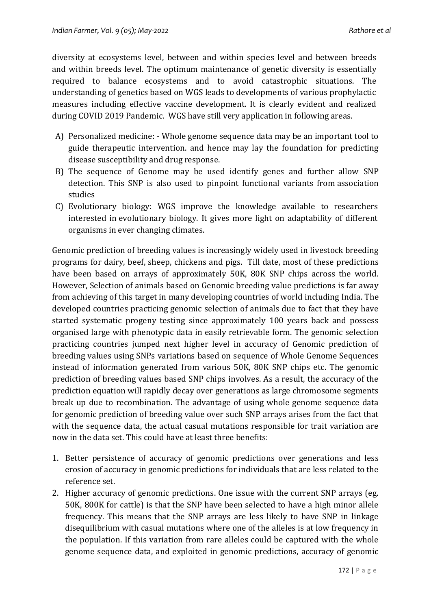diversity at ecosystems level, between and within species level and between breeds and within breeds level. The optimum maintenance of genetic diversity is essentially required to balance ecosystems and to avoid catastrophic situations. The understanding of genetics based on WGS leads to developments of various prophylactic measures including effective vaccine development. It is clearly evident and realized during COVID 2019 Pandemic. WGS have still very application in following areas.

- A) [Personalized medicine:](https://en.wikipedia.org/wiki/Personalized_medicine) Whole genome sequence data may be an important tool to guide therapeutic intervention. and hence may lay the foundation for predicting disease susceptibility and drug response.
- B) The sequence of Genome may be used identify genes and further allow SNP detection. This SNP is also used to pinpoint functional variants from [association](https://en.wikipedia.org/wiki/Association_studies)  [studies](https://en.wikipedia.org/wiki/Association_studies)
- C) [Evolutionary biology:](https://en.wikipedia.org/wiki/Evolutionary_biology) WGS improve the knowledge available to researchers interested in [evolutionary biology.](https://en.wikipedia.org/wiki/Evolutionary_biology) It gives more light on adaptability of different organisms in ever changing climates.

Genomic prediction of breeding values is increasingly widely used in livestock breeding programs for dairy, beef, sheep, chickens and pigs. Till date, most of these predictions have been based on arrays of approximately 50K, 80K SNP chips across the world. However, Selection of animals based on Genomic breeding value predictions is far away from achieving of this target in many developing countries of world including India. The developed countries practicing genomic selection of animals due to fact that they have started systematic progeny testing since approximately 100 years back and possess organised large with phenotypic data in easily retrievable form. The genomic selection practicing countries jumped next higher level in accuracy of Genomic prediction of breeding values using SNPs variations based on sequence of Whole Genome Sequences instead of information generated from various 50K, 80K SNP chips etc. The genomic prediction of breeding values based SNP chips involves. As a result, the accuracy of the prediction equation will rapidly decay over generations as large chromosome segments break up due to recombination. The advantage of using whole genome sequence data for genomic prediction of breeding value over such SNP arrays arises from the fact that with the sequence data, the actual casual mutations responsible for trait variation are now in the data set. This could have at least three benefits:

- 1. Better persistence of accuracy of genomic predictions over generations and less erosion of accuracy in genomic predictions for individuals that are less related to the reference set.
- 2. Higher accuracy of genomic predictions. One issue with the current SNP arrays (eg. 50K, 800K for cattle) is that the SNP have been selected to have a high minor allele frequency. This means that the SNP arrays are less likely to have SNP in linkage disequilibrium with casual mutations where one of the alleles is at low frequency in the population. If this variation from rare alleles could be captured with the whole genome sequence data, and exploited in genomic predictions, accuracy of genomic